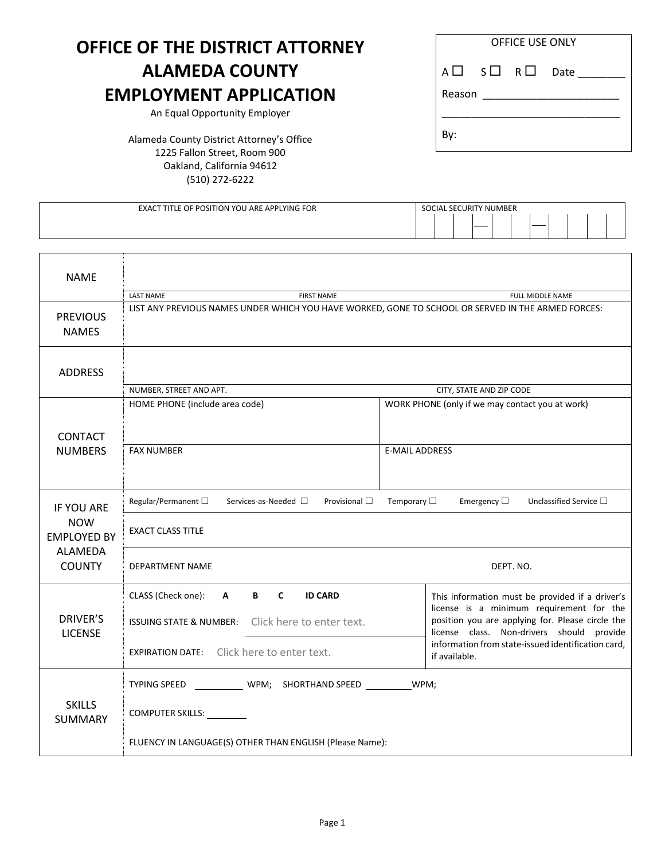# **OFFICE OF THE DISTRICT ATTORNEY ALAMEDA COUNTY EMPLOYMENT APPLICATION**

An Equal Opportunity Employer

Alameda County District Attorney's Office 1225 Fallon Street, Room 900 Oakland, California 94612 (510) 272-6222

| <b>OFFICE USE ONLY</b> |                 |  |  |  |  |  |
|------------------------|-----------------|--|--|--|--|--|
|                        | Reason ________ |  |  |  |  |  |
| By:                    |                 |  |  |  |  |  |

| <b>FOR</b><br>$\sim$<br><b>POSI</b><br>YOU<br>. APPLYING<br>TION<br>ARE<br><b>EXACT</b><br>LE<br>J۴ | NI IMRER<br><b>JR</b><br>ΝH<br>`/\ |  |
|-----------------------------------------------------------------------------------------------------|------------------------------------|--|
|                                                                                                     |                                    |  |

| <b>NAME</b>                       |                                                                                                    |                                                                                               |  |  |  |  |
|-----------------------------------|----------------------------------------------------------------------------------------------------|-----------------------------------------------------------------------------------------------|--|--|--|--|
|                                   | <b>FIRST NAME</b><br>FULL MIDDLE NAME<br><b>LAST NAME</b>                                          |                                                                                               |  |  |  |  |
| <b>PREVIOUS</b><br><b>NAMES</b>   | LIST ANY PREVIOUS NAMES UNDER WHICH YOU HAVE WORKED, GONE TO SCHOOL OR SERVED IN THE ARMED FORCES: |                                                                                               |  |  |  |  |
| <b>ADDRESS</b>                    |                                                                                                    |                                                                                               |  |  |  |  |
|                                   | NUMBER, STREET AND APT.                                                                            | CITY, STATE AND ZIP CODE                                                                      |  |  |  |  |
| <b>CONTACT</b>                    | HOME PHONE (include area code)                                                                     | WORK PHONE (only if we may contact you at work)                                               |  |  |  |  |
| <b>NUMBERS</b>                    | <b>FAX NUMBER</b>                                                                                  | <b>E-MAIL ADDRESS</b>                                                                         |  |  |  |  |
| IF YOU ARE                        | Regular/Permanent $\Box$<br>Provisional $\square$<br>Services-as-Needed □                          | Temporary $\square$<br>Emergency $\square$<br>Unclassified Service $\square$                  |  |  |  |  |
| <b>NOW</b><br><b>EMPLOYED BY</b>  | <b>EXACT CLASS TITLE</b>                                                                           |                                                                                               |  |  |  |  |
| <b>ALAMEDA</b><br><b>COUNTY</b>   | DEPARTMENT NAME                                                                                    | DEPT. NO.                                                                                     |  |  |  |  |
|                                   | CLASS (Check one):<br>B C<br><b>ID CARD</b><br>A                                                   | This information must be provided if a driver's<br>license is a minimum requirement for the   |  |  |  |  |
| <b>DRIVER'S</b><br><b>LICENSE</b> | ISSUING STATE & NUMBER: Click here to enter text.                                                  | position you are applying for. Please circle the<br>license class. Non-drivers should provide |  |  |  |  |
|                                   | EXPIRATION DATE: Click here to enter text.                                                         | information from state-issued identification card,<br>if available.                           |  |  |  |  |
|                                   | WPM; SHORTHAND SPEED WPM;<br><b>TYPING SPEED</b>                                                   |                                                                                               |  |  |  |  |
| <b>SKILLS</b><br><b>SUMMARY</b>   |                                                                                                    |                                                                                               |  |  |  |  |
|                                   | FLUENCY IN LANGUAGE(S) OTHER THAN ENGLISH (Please Name):                                           |                                                                                               |  |  |  |  |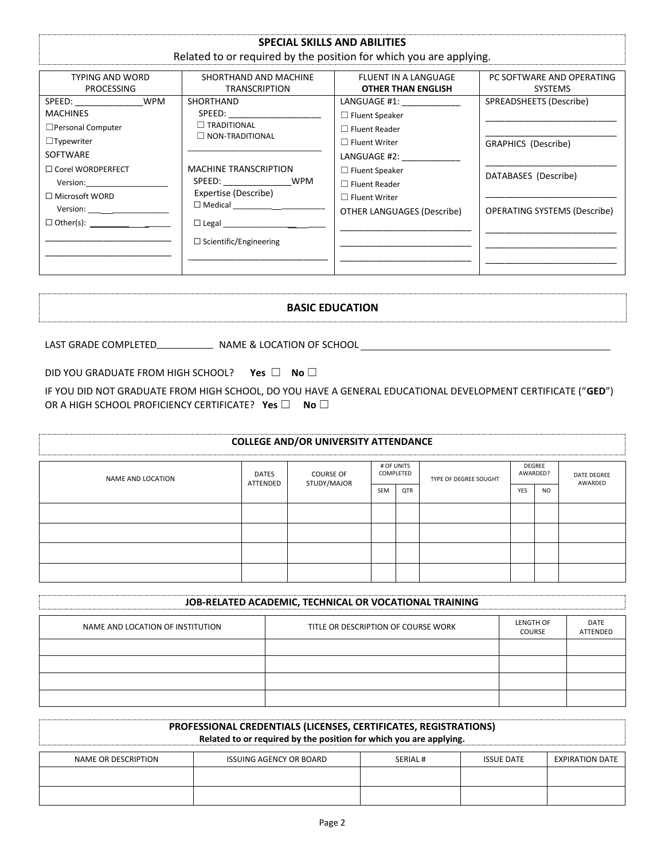### **SPECIAL SKILLS AND ABILITIES**

### Related to or required by the position for which you are applying.

| TYPING AND WORD                                                                                                                                                                                                                                                                                                                                                                                                                                             | SHORTHAND AND MACHINE                                                                                                                                                                               | <b>FLUENT IN A LANGUAGE</b>                                                                                                                                                                                                       | PC SOFTWARE AND OPERATING                                                                                            |
|-------------------------------------------------------------------------------------------------------------------------------------------------------------------------------------------------------------------------------------------------------------------------------------------------------------------------------------------------------------------------------------------------------------------------------------------------------------|-----------------------------------------------------------------------------------------------------------------------------------------------------------------------------------------------------|-----------------------------------------------------------------------------------------------------------------------------------------------------------------------------------------------------------------------------------|----------------------------------------------------------------------------------------------------------------------|
| <b>PROCESSING</b>                                                                                                                                                                                                                                                                                                                                                                                                                                           | <b>TRANSCRIPTION</b>                                                                                                                                                                                | <b>OTHER THAN ENGLISH</b>                                                                                                                                                                                                         | <b>SYSTEMS</b>                                                                                                       |
| <b>WPM</b><br>SPEED: And the set of the set of the set of the set of the set of the set of the set of the set of the set of the set of the set of the set of the set of the set of the set of the set of the set of the set of the set of th<br><b>MACHINES</b><br>□ Personal Computer<br>$\Box$ Typewriter<br><b>SOFTWARE</b><br>$\Box$ Corel WORDPERFECT<br>Version:__________________<br>$\Box$ Microsoft WORD<br>$\Box$ Other(s): _____________________ | SHORTHAND<br>$\Box$ TRADITIONAL<br>$\Box$ NON-TRADITIONAL<br><b>MACHINE TRANSCRIPTION</b><br>SPEED: WPM<br>Expertise (Describe)<br>□ Legal _______________________<br>$\Box$ Scientific/Engineering | LANGUAGE #1: _____________<br>$\Box$ Fluent Speaker<br>$\Box$ Fluent Reader<br>$\Box$ Fluent Writer<br>LANGUAGE #2:<br>$\Box$ Fluent Speaker<br>$\Box$ Fluent Reader<br>$\Box$ Fluent Writer<br><b>OTHER LANGUAGES (Describe)</b> | SPREADSHEETS (Describe)<br><b>GRAPHICS (Describe)</b><br>DATABASES (Describe)<br><b>OPERATING SYSTEMS (Describe)</b> |

### **BASIC EDUCATION**

LAST GRADE COMPLETED\_\_\_\_\_\_\_\_\_\_\_\_\_\_\_\_\_\_\_ NAME & LOCATION OF SCHOOL \_\_\_\_\_\_\_\_\_\_\_\_\_\_

DID YOU GRADUATE FROM HIGH SCHOOL? **Yes** ☐ **No** ☐

IF YOU DID NOT GRADUATE FROM HIGH SCHOOL, DO YOU HAVE A GENERAL EDUCATIONAL DEVELOPMENT CERTIFICATE ("**GED**") OR A HIGH SCHOOL PROFICIENCY CERTIFICATE? **Yes** ☐ **No** ☐

| <b>COLLEGE AND/OR UNIVERSITY ATTENDANCE</b> |                          |                    |  |                         |                       |     |                    |                               |
|---------------------------------------------|--------------------------|--------------------|--|-------------------------|-----------------------|-----|--------------------|-------------------------------|
| NAME AND LOCATION                           | <b>DATES</b><br>ATTENDED | <b>COURSE OF</b>   |  | # OF UNITS<br>COMPLETED | TYPE OF DEGREE SOUGHT |     | DEGREE<br>AWARDED? | <b>DATE DEGREE</b><br>AWARDED |
|                                             |                          | STUDY/MAJOR<br>SEM |  | QTR                     |                       | YES | <b>NO</b>          |                               |
|                                             |                          |                    |  |                         |                       |     |                    |                               |
|                                             |                          |                    |  |                         |                       |     |                    |                               |
|                                             |                          |                    |  |                         |                       |     |                    |                               |
|                                             |                          |                    |  |                         |                       |     |                    |                               |

| JOB-RELATED ACADEMIC, TECHNICAL OR VOCATIONAL TRAINING |                                     |                     |                  |  |  |
|--------------------------------------------------------|-------------------------------------|---------------------|------------------|--|--|
| NAME AND LOCATION OF INSTITUTION                       | TITLE OR DESCRIPTION OF COURSE WORK | LENGTH OF<br>COURSE | DATE<br>ATTENDED |  |  |
|                                                        |                                     |                     |                  |  |  |
|                                                        |                                     |                     |                  |  |  |
|                                                        |                                     |                     |                  |  |  |
|                                                        |                                     |                     |                  |  |  |

# **PROFESSIONAL CREDENTIALS (LICENSES, CERTIFICATES, REGISTRATIONS) Related to or required by the position for which you are applying.**

| NAME OR DESCRIPTION | <b>ISSUING AGENCY OR BOARD</b> | SERIAL # | <b>ISSUE DATE</b> | <b>EXPIRATION DATE</b> |
|---------------------|--------------------------------|----------|-------------------|------------------------|
|                     |                                |          |                   |                        |
|                     |                                |          |                   |                        |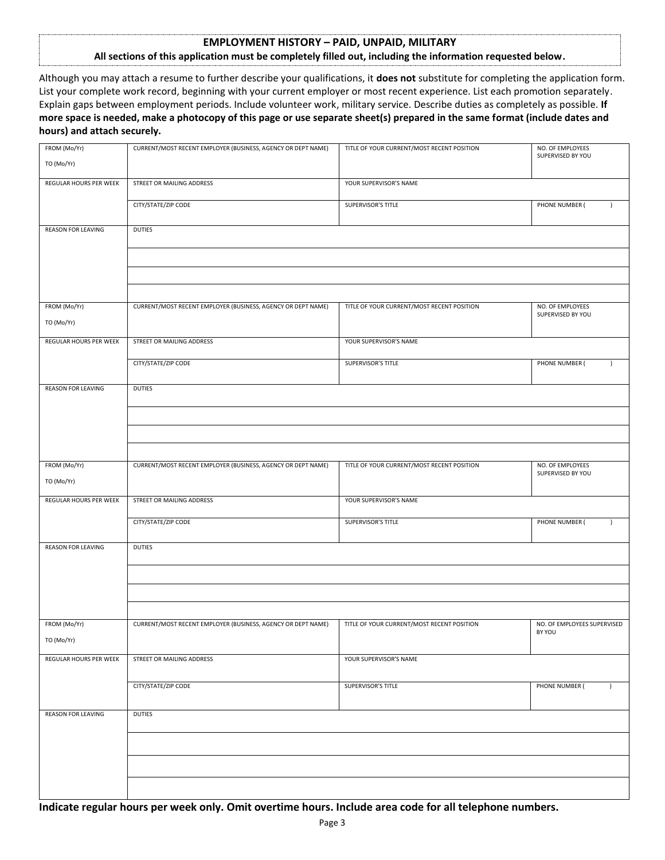#### **EMPLOYMENT HISTORY – PAID, UNPAID, MILITARY**

#### **All sections of this application must be completely filled out, including the information requested below.**

Although you may attach a resume to further describe your qualifications, it **does not** substitute for completing the application form. List your complete work record, beginning with your current employer or most recent experience. List each promotion separately. Explain gaps between employment periods. Include volunteer work, military service. Describe duties as completely as possible. **If more space is needed, make a photocopy of this page or use separate sheet(s) prepared in the same format (include dates and hours) and attach securely.**

| FROM (Mo/Yr)              | CURRENT/MOST RECENT EMPLOYER (BUSINESS, AGENCY OR DEPT NAME) | TITLE OF YOUR CURRENT/MOST RECENT POSITION | NO. OF EMPLOYEES                      |
|---------------------------|--------------------------------------------------------------|--------------------------------------------|---------------------------------------|
| TO (Mo/Yr)                |                                                              |                                            | SUPERVISED BY YOU                     |
| REGULAR HOURS PER WEEK    | STREET OR MAILING ADDRESS                                    | YOUR SUPERVISOR'S NAME                     |                                       |
|                           | CITY/STATE/ZIP CODE                                          | SUPERVISOR'S TITLE                         | PHONE NUMBER (<br>$\lambda$           |
| REASON FOR LEAVING        | <b>DUTIES</b>                                                |                                            |                                       |
|                           |                                                              |                                            |                                       |
|                           |                                                              |                                            |                                       |
|                           |                                                              |                                            |                                       |
| FROM (Mo/Yr)              | CURRENT/MOST RECENT EMPLOYER (BUSINESS, AGENCY OR DEPT NAME) | TITLE OF YOUR CURRENT/MOST RECENT POSITION | NO. OF EMPLOYEES<br>SUPERVISED BY YOU |
| TO (Mo/Yr)                |                                                              |                                            |                                       |
| REGULAR HOURS PER WEEK    | STREET OR MAILING ADDRESS                                    | YOUR SUPERVISOR'S NAME                     |                                       |
|                           | CITY/STATE/ZIP CODE                                          | SUPERVISOR'S TITLE                         | PHONE NUMBER (<br>$\lambda$           |
| REASON FOR LEAVING        | DUTIES                                                       |                                            |                                       |
|                           |                                                              |                                            |                                       |
|                           |                                                              |                                            |                                       |
|                           |                                                              |                                            |                                       |
| FROM (Mo/Yr)              | CURRENT/MOST RECENT EMPLOYER (BUSINESS, AGENCY OR DEPT NAME) | TITLE OF YOUR CURRENT/MOST RECENT POSITION | NO. OF EMPLOYEES<br>SUPERVISED BY YOU |
| TO (Mo/Yr)                |                                                              |                                            |                                       |
| REGULAR HOURS PER WEEK    | STREET OR MAILING ADDRESS                                    | YOUR SUPERVISOR'S NAME                     |                                       |
|                           | CITY/STATE/ZIP CODE                                          | SUPERVISOR'S TITLE                         | PHONE NUMBER (<br>$\lambda$           |
| <b>REASON FOR LEAVING</b> | <b>DUTIES</b>                                                |                                            |                                       |
|                           |                                                              |                                            |                                       |
|                           |                                                              |                                            |                                       |
|                           |                                                              |                                            |                                       |
| FROM (Mo/Yr)              | CURRENT/MOST RECENT EMPLOYER (BUSINESS, AGENCY OR DEPT NAME) | TITLE OF YOUR CURRENT/MOST RECENT POSITION | NO. OF EMPLOYEES SUPERVISED           |
| TO (Mo/Yr)                |                                                              |                                            | BY YOU                                |
| REGULAR HOURS PER WEEK    | STREET OR MAILING ADDRESS                                    | YOUR SUPERVISOR'S NAME                     |                                       |
|                           | CITY/STATE/ZIP CODE                                          | SUPERVISOR'S TITLE                         |                                       |
|                           |                                                              |                                            | PHONE NUMBER (<br>$\lambda$           |
| <b>REASON FOR LEAVING</b> | <b>DUTIES</b>                                                |                                            |                                       |
|                           |                                                              |                                            |                                       |
|                           |                                                              |                                            |                                       |
|                           |                                                              |                                            |                                       |
|                           |                                                              |                                            |                                       |

**Indicate regular hours per week only. Omit overtime hours. Include area code for all telephone numbers.**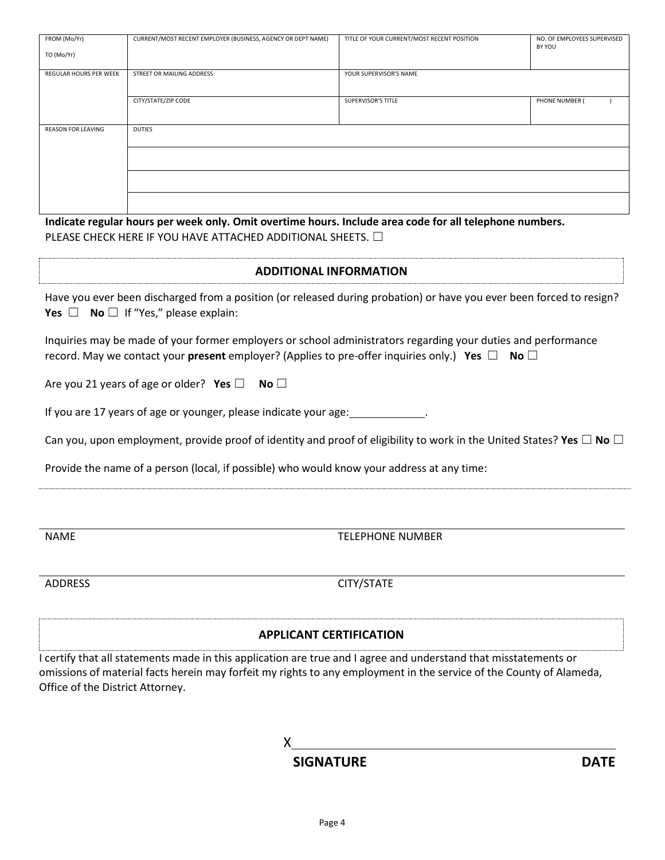| FROM (Mo/Yr)                  | CURRENT/MOST RECENT EMPLOYER (BUSINESS, AGENCY OR DEPT NAME)                                            | TITLE OF YOUR CURRENT/MOST RECENT POSITION | NO. OF EMPLOYEES SUPERVISED<br>BY YOU |  |
|-------------------------------|---------------------------------------------------------------------------------------------------------|--------------------------------------------|---------------------------------------|--|
| TO (Mo/Yr)                    |                                                                                                         |                                            |                                       |  |
| <b>REGULAR HOURS PER WEEK</b> | STREET OR MAILING ADDRESS                                                                               | YOUR SUPERVISOR'S NAME                     |                                       |  |
|                               | CITY/STATE/ZIP CODE                                                                                     | <b>SUPERVISOR'S TITLE</b>                  | PHONE NUMBER (                        |  |
| <b>REASON FOR LEAVING</b>     | <b>DUTIES</b>                                                                                           |                                            |                                       |  |
|                               |                                                                                                         |                                            |                                       |  |
|                               |                                                                                                         |                                            |                                       |  |
|                               |                                                                                                         |                                            |                                       |  |
|                               | Indicate regular hours per week only. Omit overtime hours. Include area code for all telephone numbers. |                                            |                                       |  |
|                               | PLEASE CHECK HERE IF YOU HAVE ATTACHED ADDITIONAL SHEETS. $\Box$                                        |                                            |                                       |  |
| <b>ADDITIONAL INFORMATION</b> |                                                                                                         |                                            |                                       |  |

Have you ever been discharged from a position (or released during probation) or have you ever been forced to resign? **Yes** □ **No** □ If "Yes," please explain:

Inquiries may be made of your former employers or school administrators regarding your duties and performance record. May we contact your **present** employer? (Applies to pre-offer inquiries only.) **Yes** ☐ **No** ☐

Are you 21 years of age or older? **Yes** ☐ **No** ☐

If you are 17 years of age or younger, please indicate your age: .

Can you, upon employment, provide proof of identity and proof of eligibility to work in the United States? **Yes** ☐ **No** ☐

Provide the name of a person (local, if possible) who would know your address at any time:

NAME TELEPHONE NUMBER

ADDRESS CITY/STATE

### **APPLICANT CERTIFICATION**

I certify that all statements made in this application are true and I agree and understand that misstatements or omissions of material facts herein may forfeit my rights to any employment in the service of the County of Alameda, Office of the District Attorney.

X

## **SIGNATURE DATE**